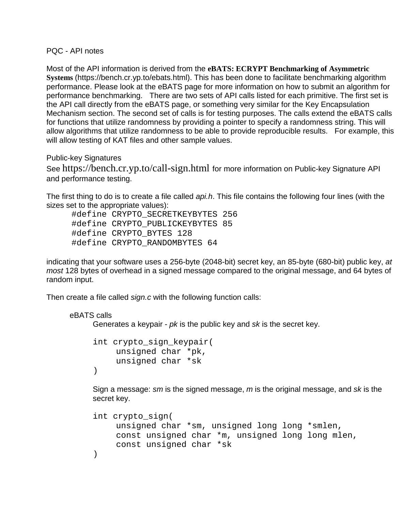PQC - API notes

Most of the API information is derived from the **eBATS: ECRYPT Benchmarking of Asymmetric Systems** (https://bench.cr.yp.to/ebats.html). This has been done to facilitate benchmarking algorithm performance. Please look at the eBATS page for more information on how to submit an algorithm for performance benchmarking. There are two sets of API calls listed for each primitive. The first set is the API call directly from the eBATS page, or something very similar for the Key Encapsulation Mechanism section. The second set of calls is for testing purposes. The calls extend the eBATS calls for functions that utilize randomness by providing a pointer to specify a randomness string. This will allow algorithms that utilize randomness to be able to provide reproducible results. For example, this will allow testing of KAT files and other sample values.

Public-key Signatures

See https://bench.cr.yp.to/call-sign.html for more information on Public-key Signature API and performance testing.

The first thing to do is to create a file called *api.h*. This file contains the following four lines (with the sizes set to the appropriate values):

 #define CRYPTO\_SECRETKEYBYTES 256 #define CRYPTO\_PUBLICKEYBYTES 85 #define CRYPTO\_BYTES 128 #define CRYPTO\_RANDOMBYTES 64

indicating that your software uses a 256-byte (2048-bit) secret key, an 85-byte (680-bit) public key, *at most* 128 bytes of overhead in a signed message compared to the original message, and 64 bytes of random input.

Then create a file called *sign.c* with the following function calls:

```
eBATS calls
```
Generates a keypair - *pk* is the public key and *sk* is the secret key.

```
int crypto_sign_keypair(
    unsigned char *pk,
    unsigned char *sk
)
```
Sign a message: *sm* is the signed message, *m* is the original message, and *sk* is the secret key.

```
int crypto_sign(
    unsigned char *sm, unsigned long long *smlen,
    const unsigned char *m, unsigned long long mlen,
    const unsigned char *sk
)
```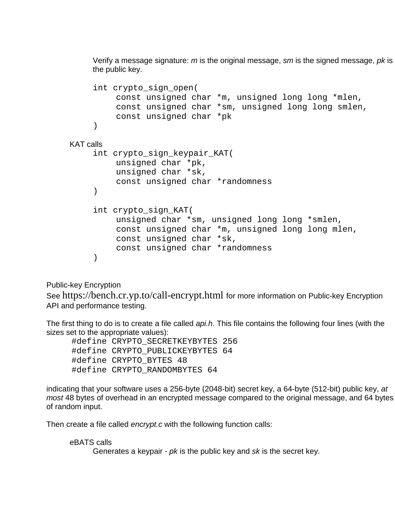Verify a message signature: *m* is the original message, *sm* is the signed message, *pk* is the public key.

```
int crypto_sign_open(
         const unsigned char *m, unsigned long long *mlen,
         const unsigned char *sm, unsigned long long smlen,
         const unsigned char *pk
     \lambdaKAT calls
    int crypto_sign_keypair_KAT(
         unsigned char *pk,
         unsigned char *sk,
         const unsigned char *randomness
     )
    int crypto_sign_KAT(
         unsigned char *sm, unsigned long long *smlen,
         const unsigned char *m, unsigned long long mlen,
         const unsigned char *sk,
         const unsigned char *randomness
    )
```
## Public-key Encryption

See https://bench.cr.yp.to/call-encrypt.html for more information on Public-key Encryption API and performance testing.

The first thing to do is to create a file called *api.h*. This file contains the following four lines (with the sizes set to the appropriate values):

 #define CRYPTO\_SECRETKEYBYTES 256 #define CRYPTO\_PUBLICKEYBYTES 64 #define CRYPTO\_BYTES 48 #define CRYPTO\_RANDOMBYTES 64

indicating that your software uses a 256-byte (2048-bit) secret key, a 64-byte (512-bit) public key, *at most* 48 bytes of overhead in an encrypted message compared to the original message, and 64 bytes of random input.

Then create a file called *encrypt.c* with the following function calls:

## eBATS calls

Generates a keypair - *pk* is the public key and *sk* is the secret key.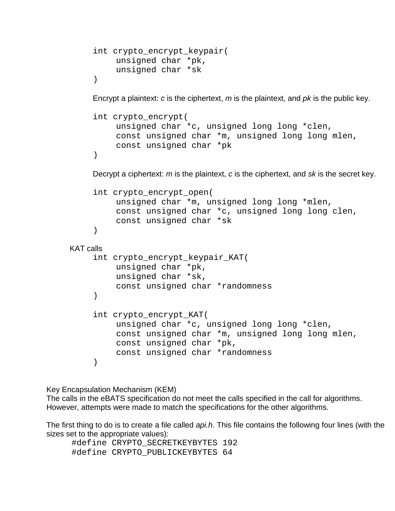```
int crypto_encrypt_keypair(
     unsigned char *pk,
     unsigned char *sk
\left( \right)
```
Encrypt a plaintext: *c* is the ciphertext, *m* is the plaintext, and *pk* is the public key.

```
int crypto_encrypt(
    unsigned char *c, unsigned long long *clen,
    const unsigned char *m, unsigned long long mlen,
    const unsigned char *pk
\left( \right)
```
Decrypt a ciphertext: *m* is the plaintext, *c* is the ciphertext, and *sk* is the secret key.

```
int crypto_encrypt_open(
    unsigned char *m, unsigned long long *mlen,
    const unsigned char *c, unsigned long long clen,
    const unsigned char *sk
\lambda
```

```
KAT calls
```

```
int crypto_encrypt_keypair_KAT(
    unsigned char *pk,
    unsigned char *sk,
    const unsigned char *randomness
\lambdaint crypto_encrypt_KAT(
    unsigned char *c, unsigned long long *clen,
    const unsigned char *m, unsigned long long mlen,
    const unsigned char *pk,
    const unsigned char *randomness
)
```
Key Encapsulation Mechanism (KEM)

The calls in the eBATS specification do not meet the calls specified in the call for algorithms. However, attempts were made to match the specifications for the other algorithms.

The first thing to do is to create a file called *api.h*. This file contains the following four lines (with the sizes set to the appropriate values):

 #define CRYPTO\_SECRETKEYBYTES 192 #define CRYPTO\_PUBLICKEYBYTES 64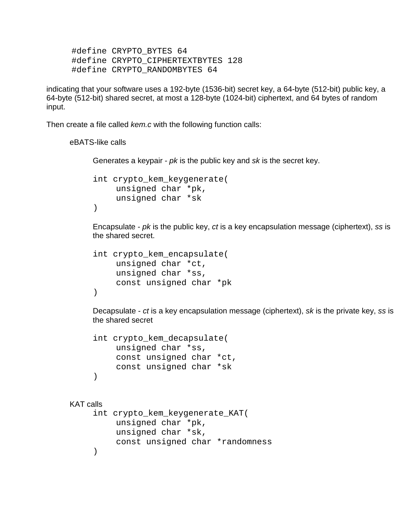#define CRYPTO\_BYTES 64 #define CRYPTO\_CIPHERTEXTBYTES 128 #define CRYPTO\_RANDOMBYTES 64

indicating that your software uses a 192-byte (1536-bit) secret key, a 64-byte (512-bit) public key, a 64-byte (512-bit) shared secret, at most a 128-byte (1024-bit) ciphertext, and 64 bytes of random input.

Then create a file called *kem.c* with the following function calls:

eBATS-like calls

Generates a keypair - *pk* is the public key and *sk* is the secret key.

```
int crypto_kem_keygenerate(
     unsigned char *pk,
     unsigned char *sk
\left( \right)
```
Encapsulate - *pk* is the public key, *ct* is a key encapsulation message (ciphertext), *ss* is the shared secret.

```
int crypto_kem_encapsulate(
    unsigned char *ct,
    unsigned char *ss,
    const unsigned char *pk
)
```
Decapsulate - *ct* is a key encapsulation message (ciphertext), *sk* is the private key, *ss* is the shared secret

```
int crypto_kem_decapsulate(
    unsigned char *ss,
    const unsigned char *ct,
    const unsigned char *sk
)
```
## KAT calls

```
int crypto_kem_keygenerate_KAT(
     unsigned char *pk,
     unsigned char *sk,
     const unsigned char *randomness
\left( \right)
```